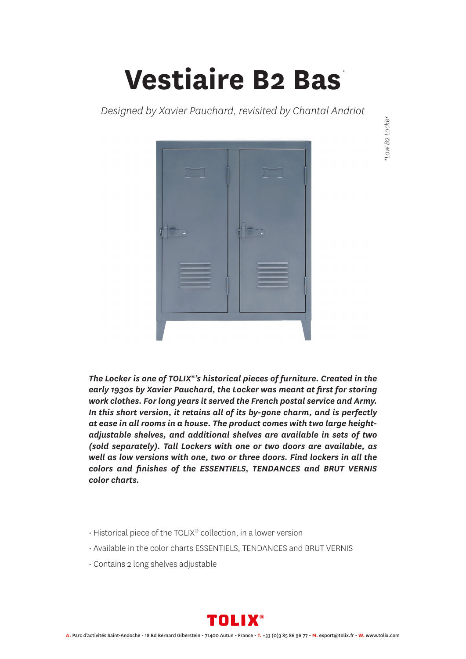## **Vestiaire B2 Bas** *\**

*Designed by Xavier Pauchard, revisited by Chantal Andriot*



\*Low B2 Locker *\*Low B2 Locker*

*The Locker is one of TOLIX®'s historical pieces of furniture. Created in the early 1930s by Xavier Pauchard, the Locker was meant at first for storing work clothes. For long years it served the French postal service and Army. In this short version, it retains all of its by-gone charm, and is perfectly at ease in all rooms in a house. The product comes with two large heightadjustable shelves, and additional shelves are available in sets of two (sold separately). Tall Lockers with one or two doors are available, as well as low versions with one, two or three doors. Find lockers in all the colors and finishes of the ESSENTIELS, TENDANCES and BRUT VERNIS color charts.*

- Historical piece of the TOLIX® collection, in a lower version
- Available in the color charts ESSENTIELS, TENDANCES and BRUT VERNIS
- Contains 2 long shelves adjustable